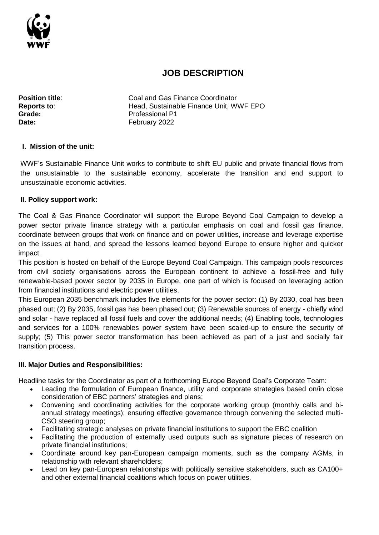

# **JOB DESCRIPTION**

**Position title:** Coal and Gas Finance Coordinator **Reports to**: Head, Sustainable Finance Unit, WWF EPO Grade: **Calculate: Professional P1** Date: **Date:** February 2022

#### **I. Mission of the unit:**

WWF's Sustainable Finance Unit works to contribute to shift EU public and private financial flows from the unsustainable to the sustainable economy, accelerate the transition and end support to unsustainable economic activities.

#### **II. Policy support work:**

The Coal & Gas Finance Coordinator will support the Europe Beyond Coal Campaign to develop a power sector private finance strategy with a particular emphasis on coal and fossil gas finance, coordinate between groups that work on finance and on power utilities, increase and leverage expertise on the issues at hand, and spread the lessons learned beyond Europe to ensure higher and quicker impact.

This position is hosted on behalf of the Europe Beyond Coal Campaign. This campaign pools resources from civil society organisations across the European continent to achieve a fossil-free and fully renewable-based power sector by 2035 in Europe, one part of which is focused on leveraging action from financial institutions and electric power utilities.

This European 2035 benchmark includes five elements for the power sector: (1) By 2030, coal has been phased out; (2) By 2035, fossil gas has been phased out; (3) Renewable sources of energy - chiefly wind and solar - have replaced all fossil fuels and cover the additional needs; (4) Еnabling tools, technologies and services for a 100% renewables power system have been scaled-up to ensure the security of supply; (5) This power sector transformation has been achieved as part of a just and socially fair transition process.

#### **III. Major Duties and Responsibilities:**

Headline tasks for the Coordinator as part of a forthcoming Europe Beyond Coal's Corporate Team:

- Leading the formulation of European finance, utility and corporate strategies based on/in close consideration of EBC partners' strategies and plans;
- Convening and coordinating activities for the corporate working group (monthly calls and biannual strategy meetings); ensuring effective governance through convening the selected multi-CSO steering group:
- Facilitating strategic analyses on private financial institutions to support the EBC coalition
- Facilitating the production of externally used outputs such as signature pieces of research on private financial institutions;
- Coordinate around key pan-European campaign moments, such as the company AGMs, in relationship with relevant shareholders;
- Lead on key pan-European relationships with politically sensitive stakeholders, such as CA100+ and other external financial coalitions which focus on power utilities.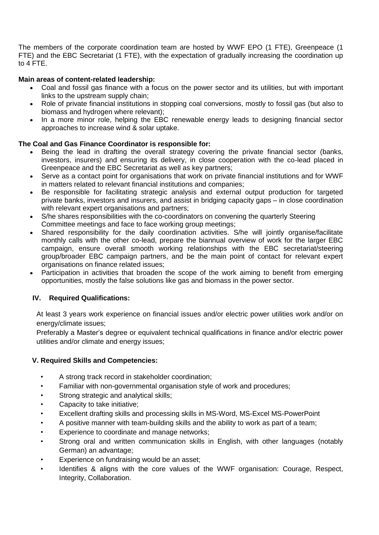The members of the corporate coordination team are hosted by WWF EPO (1 FTE), Greenpeace (1 FTE) and the EBC Secretariat (1 FTE), with the expectation of gradually increasing the coordination up to 4 FTE.

### **Main areas of content-related leadership:**

- Coal and fossil gas finance with a focus on the power sector and its utilities, but with important links to the upstream supply chain;
- Role of private financial institutions in stopping coal conversions, mostly to fossil gas (but also to biomass and hydrogen where relevant);
- In a more minor role, helping the EBC renewable energy leads to designing financial sector approaches to increase wind & solar uptake.

## **The Coal and Gas Finance Coordinator is responsible for:**

- Being the lead in drafting the overall strategy covering the private financial sector (banks, investors, insurers) and ensuring its delivery, in close cooperation with the co-lead placed in Greenpeace and the EBC Secretariat as well as key partners;
- Serve as a contact point for organisations that work on private financial institutions and for WWF in matters related to relevant financial institutions and companies;
- Be responsible for facilitating strategic analysis and external output production for targeted private banks, investors and insurers, and assist in bridging capacity gaps – in close coordination with relevant expert organisations and partners;
- S/he shares responsibilities with the co-coordinators on convening the quarterly Steering Committee meetings and face to face working group meetings;
- Shared responsibility for the daily coordination activities. S/he will jointly organise/facilitate monthly calls with the other co-lead, prepare the biannual overview of work for the larger EBC campaign, ensure overall smooth working relationships with the EBC secretariat/steering group/broader EBC campaign partners, and be the main point of contact for relevant expert organisations on finance related issues;
- Participation in activities that broaden the scope of the work aiming to benefit from emerging opportunities, mostly the false solutions like gas and biomass in the power sector.

## **IV. Required Qualifications:**

At least 3 years work experience on financial issues and/or electric power utilities work and/or on energy/climate issues;

Preferably a Master's degree or equivalent technical qualifications in finance and/or electric power utilities and/or climate and energy issues;

#### **V. Required Skills and Competencies:**

- A strong track record in stakeholder coordination;
- Familiar with non-governmental organisation style of work and procedures;
- Strong strategic and analytical skills;
- Capacity to take initiative;
- Excellent drafting skills and processing skills in MS-Word, MS-Excel MS-PowerPoint
- A positive manner with team-building skills and the ability to work as part of a team;
- Experience to coordinate and manage networks;
- Strong oral and written communication skills in English, with other languages (notably German) an advantage;
- Experience on fundraising would be an asset;
- Identifies & aligns with the core values of the WWF organisation: Courage, Respect, Integrity, Collaboration.